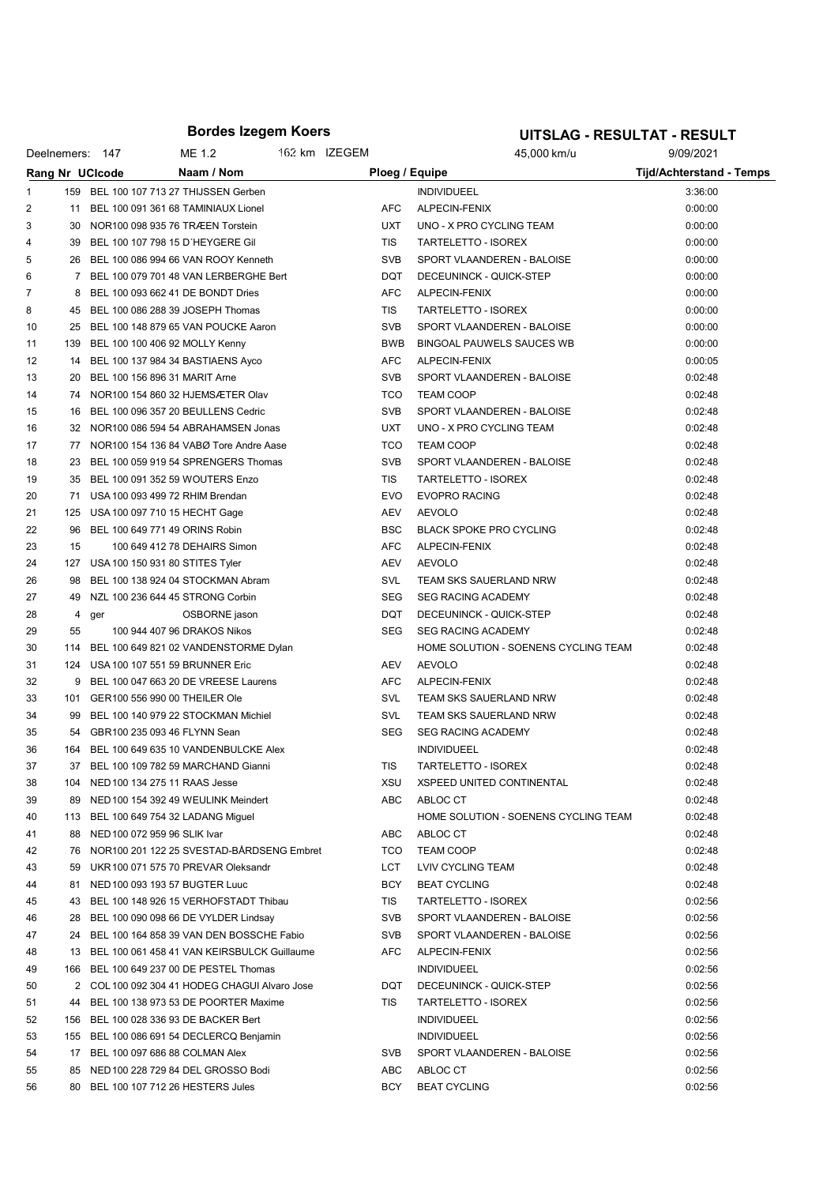### Bordes Izegem Koers

# UITSLAG - RESULTAT - RESULT

| Deelnemers: 147 |       |                                 | ME 1.2                                         | 162 km IZEGEM |            | 45,000 km/u                          | 9/09/2021                       |  |
|-----------------|-------|---------------------------------|------------------------------------------------|---------------|------------|--------------------------------------|---------------------------------|--|
|                 |       | Rang Nr UCIcode                 | Naam / Nom                                     |               |            | Ploeg / Equipe                       | <b>Tijd/Achterstand - Temps</b> |  |
| 1.              |       |                                 | 159 BEL 100 107 713 27 THIJSSEN Gerben         |               |            | <b>INDIVIDUEEL</b>                   | 3:36:00                         |  |
| 2               |       |                                 | 11 BEL 100 091 361 68 TAMINIAUX Lionel         |               | <b>AFC</b> | ALPECIN-FENIX                        | 0:00:00                         |  |
| 3               |       |                                 | 30 NOR100 098 935 76 TRÆEN Torstein            |               | <b>UXT</b> | UNO - X PRO CYCLING TEAM             | 0:00:00                         |  |
| 4               |       |                                 | 39 BEL 100 107 798 15 D'HEYGERE Gil            |               | <b>TIS</b> | <b>TARTELETTO - ISOREX</b>           | 0:00:00                         |  |
| 5               |       |                                 | 26 BEL 100 086 994 66 VAN ROOY Kenneth         |               | <b>SVB</b> | SPORT VLAANDEREN - BALOISE           | 0:00:00                         |  |
| 6               |       |                                 | 7 BEL 100 079 701 48 VAN LERBERGHE Bert        |               | DQT        | DECEUNINCK - QUICK-STEP              | 0:00:00                         |  |
|                 |       |                                 | 8 BEL 100 093 662 41 DE BONDT Dries            |               | <b>AFC</b> | ALPECIN-FENIX                        | 0:00:00                         |  |
| 8               |       |                                 | 45 BEL 100 086 288 39 JOSEPH Thomas            |               | TIS        | TARTELETTO - ISOREX                  | 0:00:00                         |  |
| 10              |       |                                 | 25 BEL 100 148 879 65 VAN POUCKE Aaron         |               | <b>SVB</b> | SPORT VLAANDEREN - BALOISE           | 0:00:00                         |  |
| 11              |       |                                 | 139 BEL 100 100 406 92 MOLLY Kenny             |               | BWB        | BINGOAL PAUWELS SAUCES WB            | 0:00:00                         |  |
| 12              |       |                                 | 14 BEL 100 137 984 34 BASTIAENS Ayco           |               | <b>AFC</b> | ALPECIN-FENIX                        | 0:00:05                         |  |
| 13              |       |                                 | 20 BEL 100 156 896 31 MARIT Arne               |               | <b>SVB</b> | SPORT VLAANDEREN - BALOISE           | 0:02:48                         |  |
| 14              |       |                                 | 74 NOR100 154 860 32 HJEMSÆTER Olav            |               | <b>TCO</b> | <b>TEAM COOP</b>                     | 0:02:48                         |  |
| 15              |       |                                 | 16 BEL 100 096 357 20 BEULLENS Cedric          |               | <b>SVB</b> | SPORT VLAANDEREN - BALOISE           | 0:02:48                         |  |
| 16              |       |                                 | 32 NOR100 086 594 54 ABRAHAMSEN Jonas          |               | <b>UXT</b> | UNO - X PRO CYCLING TEAM             | 0:02:48                         |  |
| 17              |       |                                 | 77 NOR100 154 136 84 VABØ Tore Andre Aase      |               | <b>TCO</b> | <b>TEAM COOP</b>                     | 0:02:48                         |  |
| 18              |       |                                 | 23 BEL 100 059 919 54 SPRENGERS Thomas         |               | <b>SVB</b> | SPORT VLAANDEREN - BALOISE           | 0:02:48                         |  |
| 19              |       |                                 | 35 BEL 100 091 352 59 WOUTERS Enzo             |               | TIS        | TARTELETTO - ISOREX                  | 0:02:48                         |  |
| 20              |       |                                 | 71 USA 100 093 499 72 RHIM Brendan             |               | <b>EVO</b> | <b>EVOPRO RACING</b>                 | 0:02:48                         |  |
| 21              |       |                                 | 125 USA 100 097 710 15 HECHT Gage              |               | AEV        | <b>AEVOLO</b>                        | 0:02:48                         |  |
| 22              |       |                                 | 96 BEL 100 649 771 49 ORINS Robin              |               | <b>BSC</b> | <b>BLACK SPOKE PRO CYCLING</b>       | 0:02:48                         |  |
| 23              | 15    |                                 | 100 649 412 78 DEHAIRS Simon                   |               | <b>AFC</b> | ALPECIN-FENIX                        | 0:02:48                         |  |
| 24              |       |                                 | 127 USA 100 150 931 80 STITES Tyler            |               | AEV        | <b>AEVOLO</b>                        | 0:02:48                         |  |
| 26              |       |                                 | 98 BEL 100 138 924 04 STOCKMAN Abram           |               | SVL        | TEAM SKS SAUERLAND NRW               | 0:02:48                         |  |
| 27              |       |                                 | 49 NZL 100 236 644 45 STRONG Corbin            |               | <b>SEG</b> | <b>SEG RACING ACADEMY</b>            | 0:02:48                         |  |
| 28              | 4 ger |                                 | OSBORNE jason                                  |               | DQT        | DECEUNINCK - QUICK-STEP              | 0:02:48                         |  |
| 29              | 55    |                                 | 100 944 407 96 DRAKOS Nikos                    |               | <b>SEG</b> | <b>SEG RACING ACADEMY</b>            | 0:02:48                         |  |
| 30              |       |                                 | 114 BEL 100 649 821 02 VANDENSTORME Dylan      |               |            | HOME SOLUTION - SOENENS CYCLING TEAM | 0:02:48                         |  |
| 31              |       |                                 | 124 USA 100 107 551 59 BRUNNER Eric            |               | AEV        | <b>AEVOLO</b>                        | 0:02:48                         |  |
| 32              |       |                                 | 9 BEL 100 047 663 20 DE VREESE Laurens         |               | AFC        | ALPECIN-FENIX                        | 0:02:48                         |  |
| 33              |       |                                 | 101 GER100 556 990 00 THEILER Ole              |               | <b>SVL</b> | TEAM SKS SAUERLAND NRW               | 0:02:48                         |  |
| 34              |       |                                 | 99 BEL 100 140 979 22 STOCKMAN Michiel         |               | <b>SVL</b> | <b>TEAM SKS SAUERLAND NRW</b>        | 0:02:48                         |  |
| 35              |       |                                 | 54 GBR100 235 093 46 FLYNN Sean                |               | <b>SEG</b> | <b>SEG RACING ACADEMY</b>            | 0:02:48                         |  |
| 36              |       |                                 | 164 BEL 100 649 635 10 VANDENBULCKE Alex       |               |            | <b>INDIVIDUEEL</b>                   | 0:02:48                         |  |
| 37              |       |                                 | 37 BEL 100 109 782 59 MARCHAND Gianni          |               | <b>TIS</b> | TARTELETTO - ISOREX                  | 0:02:48                         |  |
| 38              |       |                                 | 104 NED 100 134 275 11 RAAS Jesse              |               | <b>XSU</b> | <b>XSPEED UNITED CONTINENTAL</b>     | 0:02:48                         |  |
| 39              |       |                                 | 89 NED 100 154 392 49 WEULINK Meindert         |               | ABC        | ABLOC CT                             | 0:02:48                         |  |
| 40              |       |                                 | 113 BEL 100 649 754 32 LADANG Miguel           |               |            | HOME SOLUTION - SOENENS CYCLING TEAM | 0:02:48                         |  |
| 41              |       | 88 NED 100 072 959 96 SLIK Ivar |                                                |               | ABC        | ABLOC CT                             | 0:02:48                         |  |
| 42              |       |                                 | 76 NOR100 201 122 25 SVESTAD-BÅRDSENG Embret   |               | TCO        | <b>TEAM COOP</b>                     | 0:02:48                         |  |
| 43              |       |                                 | 59 UKR 100 071 575 70 PREVAR Oleksandr         |               | LCT        | LVIV CYCLING TEAM                    | 0:02:48                         |  |
| 44              |       |                                 | 81 NED 100 093 193 57 BUGTER Luuc              |               | BCY        | <b>BEAT CYCLING</b>                  | 0:02:48                         |  |
| 45              |       |                                 | 43 BEL 100 148 926 15 VERHOFSTADT Thibau       |               | TIS        | TARTELETTO - ISOREX                  | 0:02:56                         |  |
|                 |       |                                 | 28 BEL 100 090 098 66 DE VYLDER Lindsay        |               | <b>SVB</b> | SPORT VLAANDEREN - BALOISE           | 0:02:56                         |  |
| 46              |       |                                 | 24 BEL 100 164 858 39 VAN DEN BOSSCHE Fabio    |               | <b>SVB</b> | SPORT VLAANDEREN - BALOISE           | 0:02:56                         |  |
| 47              |       |                                 | 13 BEL 100 061 458 41 VAN KEIRSBULCK Guillaume |               | AFC        |                                      |                                 |  |
| 48              |       |                                 | 166 BEL 100 649 237 00 DE PESTEL Thomas        |               |            | ALPECIN-FENIX                        | 0:02:56                         |  |
| 49              |       |                                 |                                                |               |            | <b>INDIVIDUEEL</b>                   | 0:02:56                         |  |
| 50              |       |                                 | 2 COL 100 092 304 41 HODEG CHAGUI Alvaro Jose  |               | DQT        | DECEUNINCK - QUICK-STEP              | 0:02:56                         |  |
| 51              |       |                                 | 44 BEL 100 138 973 53 DE POORTER Maxime        |               | TIS        | TARTELETTO - ISOREX                  | 0:02:56                         |  |
| 52              |       |                                 | 156 BEL 100 028 336 93 DE BACKER Bert          |               |            | <b>INDIVIDUEEL</b>                   | 0:02:56                         |  |
| 53              |       |                                 | 155 BEL 100 086 691 54 DECLERCQ Benjamin       |               |            | <b>INDIVIDUEEL</b>                   | 0:02:56                         |  |
| 54              |       |                                 | 17 BEL 100 097 686 88 COLMAN Alex              |               | <b>SVB</b> | SPORT VLAANDEREN - BALOISE           | 0:02:56                         |  |
| 55              |       |                                 | 85 NED 100 228 729 84 DEL GROSSO Bodi          |               | ABC        | ABLOC CT                             | 0:02:56                         |  |
| 56              |       |                                 | 80 BEL 100 107 712 26 HESTERS Jules            |               | BCY        | <b>BEAT CYCLING</b>                  | 0:02:56                         |  |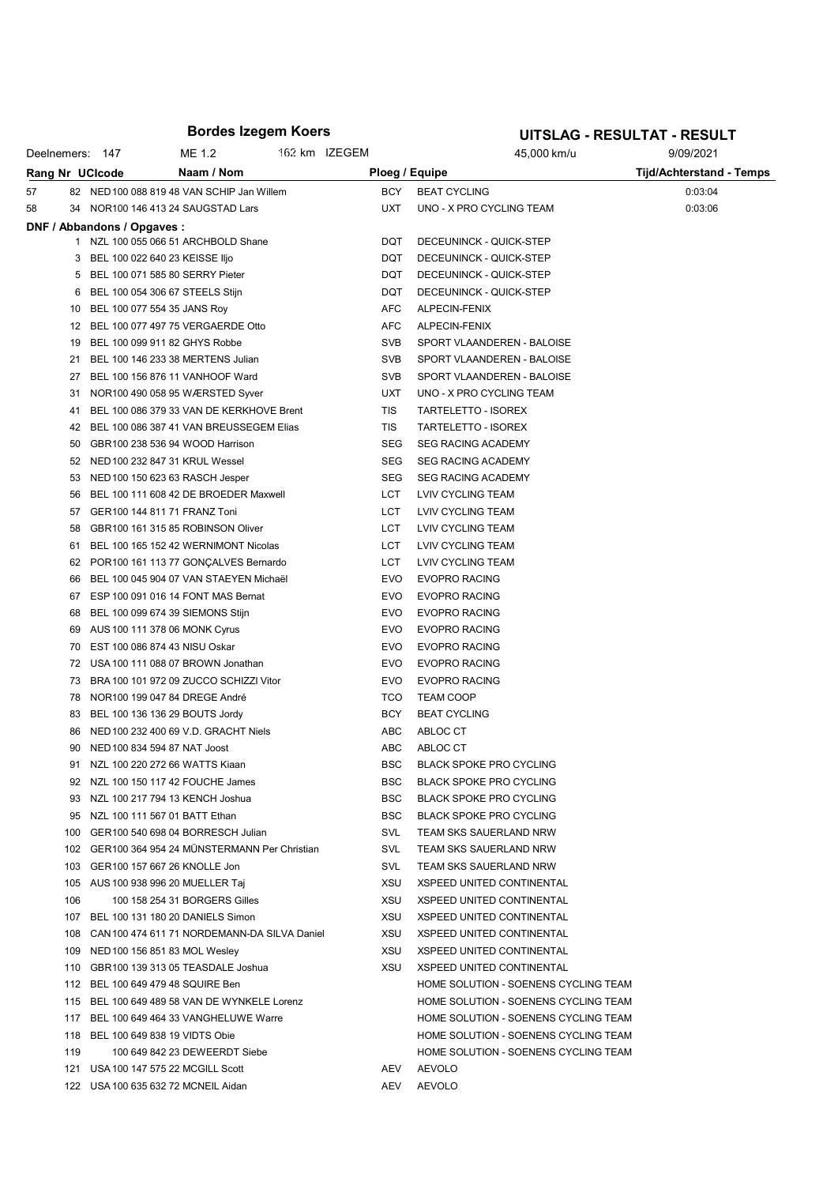## Bordes Izegem Koers

#### UITSLAG - RESULTAT - RESULT

|    |     | Deelnemers: 147             | ME 1.2                                           | 162 km IZEGEM |            | 45,000 km/u                          | 9/09/2021                       |
|----|-----|-----------------------------|--------------------------------------------------|---------------|------------|--------------------------------------|---------------------------------|
|    |     | Rang Nr UCIcode             | Naam / Nom                                       |               |            | Ploeg / Equipe                       | <b>Tijd/Achterstand - Temps</b> |
| 57 |     |                             | 82 NED 100 088 819 48 VAN SCHIP Jan Willem       |               | BCY        | <b>BEAT CYCLING</b>                  | 0:03:04                         |
| 58 |     |                             | 34 NOR100 146 413 24 SAUGSTAD Lars               |               | <b>UXT</b> | UNO - X PRO CYCLING TEAM             | 0:03:06                         |
|    |     | DNF / Abbandons / Opgaves : |                                                  |               |            |                                      |                                 |
|    |     |                             | 1 NZL 100 055 066 51 ARCHBOLD Shane              |               | <b>DQT</b> | DECEUNINCK - QUICK-STEP              |                                 |
|    | 3   |                             | BEL 100 022 640 23 KEISSE IIjo                   |               | <b>DQT</b> | DECEUNINCK - QUICK-STEP              |                                 |
|    |     |                             | 5 BEL 100 071 585 80 SERRY Pieter                |               | <b>DQT</b> | DECEUNINCK - QUICK-STEP              |                                 |
|    | 6   |                             | BEL 100 054 306 67 STEELS Stijn                  |               | DQT        | DECEUNINCK - QUICK-STEP              |                                 |
|    | 10  |                             | BEL 100 077 554 35 JANS Roy                      |               | <b>AFC</b> | ALPECIN-FENIX                        |                                 |
|    | 12  |                             | BEL 100 077 497 75 VERGAERDE Otto                |               | <b>AFC</b> | ALPECIN-FENIX                        |                                 |
|    | 19  |                             | BEL 100 099 911 82 GHYS Robbe                    |               | <b>SVB</b> | SPORT VLAANDEREN - BALOISE           |                                 |
|    | 21  |                             | BEL 100 146 233 38 MERTENS Julian                |               | <b>SVB</b> | SPORT VLAANDEREN - BALOISE           |                                 |
|    | 27  |                             | BEL 100 156 876 11 VANHOOF Ward                  |               | <b>SVB</b> | SPORT VLAANDEREN - BALOISE           |                                 |
|    | 31  |                             | NOR100 490 058 95 WÆRSTED Syver                  |               | <b>UXT</b> | UNO - X PRO CYCLING TEAM             |                                 |
|    | 41  |                             | BEL 100 086 379 33 VAN DE KERKHOVE Brent         |               | TIS        | TARTELETTO - ISOREX                  |                                 |
|    |     |                             | BEL 100 086 387 41 VAN BREUSSEGEM Elias          |               | TIS        |                                      |                                 |
|    | 42  |                             |                                                  |               |            | TARTELETTO - ISOREX                  |                                 |
|    | 50  |                             | GBR100 238 536 94 WOOD Harrison                  |               | <b>SEG</b> | <b>SEG RACING ACADEMY</b>            |                                 |
|    | 52  |                             | NED 100 232 847 31 KRUL Wessel                   |               | <b>SEG</b> | <b>SEG RACING ACADEMY</b>            |                                 |
|    | 53  |                             | NED 100 150 623 63 RASCH Jesper                  |               | <b>SEG</b> | <b>SEG RACING ACADEMY</b>            |                                 |
|    | 56  |                             | BEL 100 111 608 42 DE BROEDER Maxwell            |               | LCT        | LVIV CYCLING TEAM                    |                                 |
|    | 57  |                             | GER100 144 811 71 FRANZ Toni                     |               | LCT        | LVIV CYCLING TEAM                    |                                 |
|    | 58  |                             | GBR100 161 315 85 ROBINSON Oliver                |               | LCT        | LVIV CYCLING TEAM                    |                                 |
|    | 61  |                             | BEL 100 165 152 42 WERNIMONT Nicolas             |               | LCT        | LVIV CYCLING TEAM                    |                                 |
|    | 62  |                             | POR100 161 113 77 GONÇALVES Bernardo             |               | LCT        | LVIV CYCLING TEAM                    |                                 |
|    | 66  |                             | BEL 100 045 904 07 VAN STAEYEN Michaël           |               | <b>EVO</b> | <b>EVOPRO RACING</b>                 |                                 |
|    | 67  |                             | ESP 100 091 016 14 FONT MAS Bernat               |               | <b>EVO</b> | <b>EVOPRO RACING</b>                 |                                 |
|    | 68  |                             | BEL 100 099 674 39 SIEMONS Stijn                 |               | <b>EVO</b> | <b>EVOPRO RACING</b>                 |                                 |
|    | 69  |                             | AUS 100 111 378 06 MONK Cyrus                    |               | <b>EVO</b> | <b>EVOPRO RACING</b>                 |                                 |
|    | 70  |                             | EST 100 086 874 43 NISU Oskar                    |               | <b>EVO</b> | <b>EVOPRO RACING</b>                 |                                 |
|    | 72  |                             | USA 100 111 088 07 BROWN Jonathan                |               | <b>EVO</b> | <b>EVOPRO RACING</b>                 |                                 |
|    | 73  |                             | BRA 100 101 972 09 ZUCCO SCHIZZI Vitor           |               | <b>EVO</b> | <b>EVOPRO RACING</b>                 |                                 |
|    | 78  |                             | NOR100 199 047 84 DREGE André                    |               | <b>TCO</b> | <b>TEAM COOP</b>                     |                                 |
|    | 83  |                             | BEL 100 136 136 29 BOUTS Jordy                   |               | <b>BCY</b> | <b>BEAT CYCLING</b>                  |                                 |
|    | 86  |                             | NED 100 232 400 69 V.D. GRACHT Niels             |               | ABC        | ABLOC CT                             |                                 |
|    | 90  |                             | NED 100 834 594 87 NAT Joost                     |               | ABC        | ABLOC CT                             |                                 |
|    | 91. |                             | NZL 100 220 272 66 WATTS Kiaan                   |               | <b>BSC</b> | <b>BLACK SPOKE PRO CYCLING</b>       |                                 |
|    |     |                             | 92 NZL 100 150 117 42 FOUCHE James               |               | BSC        | <b>BLACK SPOKE PRO CYCLING</b>       |                                 |
|    |     |                             | 93 NZL 100 217 794 13 KENCH Joshua               |               | <b>BSC</b> | <b>BLACK SPOKE PRO CYCLING</b>       |                                 |
|    |     |                             | 95 NZL 100 111 567 01 BATT Ethan                 |               | <b>BSC</b> | <b>BLACK SPOKE PRO CYCLING</b>       |                                 |
|    |     |                             | 100 GER100 540 698 04 BORRESCH Julian            |               | SVL        | TEAM SKS SAUERLAND NRW               |                                 |
|    |     |                             | 102 GER100 364 954 24 MÜNSTERMANN Per Christian  |               | SVL        | <b>TEAM SKS SAUERLAND NRW</b>        |                                 |
|    |     |                             | 103 GER100 157 667 26 KNOLLE Jon                 |               | SVL        | TEAM SKS SAUERLAND NRW               |                                 |
|    |     |                             | 105 AUS 100 938 996 20 MUELLER Taj               |               | XSU        | XSPEED UNITED CONTINENTAL            |                                 |
|    | 106 |                             | 100 158 254 31 BORGERS Gilles                    |               | XSU        | <b>XSPEED UNITED CONTINENTAL</b>     |                                 |
|    |     |                             | 107 BEL 100 131 180 20 DANIELS Simon             |               | XSU        | <b>XSPEED UNITED CONTINENTAL</b>     |                                 |
|    |     |                             | 108 CAN 100 474 611 71 NORDEMANN-DA SILVA Daniel |               | XSU        | <b>XSPEED UNITED CONTINENTAL</b>     |                                 |
|    |     |                             | 109 NED 100 156 851 83 MOL Wesley                |               | XSU        | XSPEED UNITED CONTINENTAL            |                                 |
|    |     |                             | 110 GBR100 139 313 05 TEASDALE Joshua            |               | XSU        | <b>XSPEED UNITED CONTINENTAL</b>     |                                 |
|    |     |                             | 112 BEL 100 649 479 48 SQUIRE Ben                |               |            | HOME SOLUTION - SOENENS CYCLING TEAM |                                 |
|    |     |                             | 115 BEL 100 649 489 58 VAN DE WYNKELE Lorenz     |               |            | HOME SOLUTION - SOENENS CYCLING TEAM |                                 |
|    |     |                             | 117 BEL 100 649 464 33 VANGHELUWE Warre          |               |            | HOME SOLUTION - SOENENS CYCLING TEAM |                                 |
|    |     |                             | 118 BEL 100 649 838 19 VIDTS Obie                |               |            | HOME SOLUTION - SOENENS CYCLING TEAM |                                 |
|    | 119 |                             | 100 649 842 23 DEWEERDT Siebe                    |               |            | HOME SOLUTION - SOENENS CYCLING TEAM |                                 |
|    |     |                             |                                                  |               |            |                                      |                                 |
|    |     |                             | 121 USA 100 147 575 22 MCGILL Scott              |               | AEV        | AEVOLO                               |                                 |
|    |     |                             | 122 USA 100 635 632 72 MCNEIL Aidan              |               | AEV        | <b>AEVOLO</b>                        |                                 |